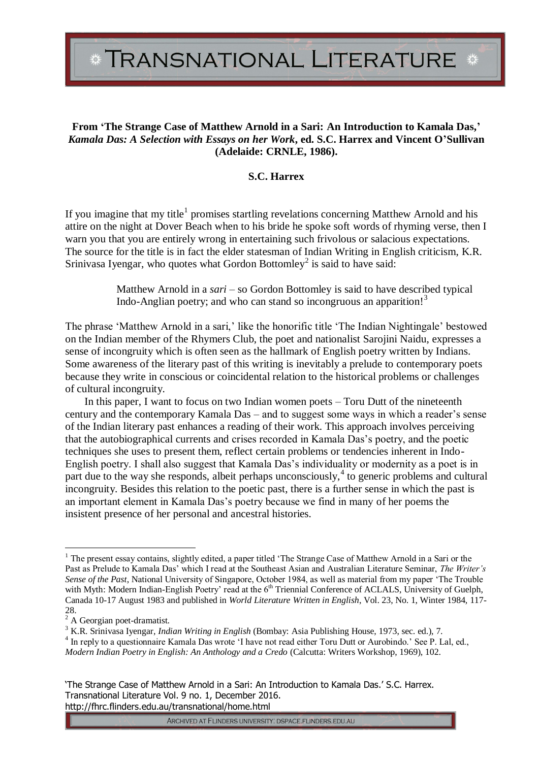TRANSNATIONAL LITERATURE \*

## **From 'The Strange Case of Matthew Arnold in a Sari: An Introduction to Kamala Das,'** *Kamala Das: A Selection with Essays on her Work***, ed. S.C. Harrex and Vincent O'Sullivan (Adelaide: CRNLE, 1986).**

## **S.C. Harrex**

If you imagine that my title<sup>1</sup> promises startling revelations concerning Matthew Arnold and his attire on the night at Dover Beach when to his bride he spoke soft words of rhyming verse, then I warn you that you are entirely wrong in entertaining such frivolous or salacious expectations. The source for the title is in fact the elder statesman of Indian Writing in English criticism, K.R. Srinivasa Iyengar, who quotes what Gordon Bottomley<sup>2</sup> is said to have said:

> Matthew Arnold in a *sari* – so Gordon Bottomley is said to have described typical Indo-Anglian poetry; and who can stand so incongruous an apparition!<sup>3</sup>

The phrase 'Matthew Arnold in a sari,' like the honorific title 'The Indian Nightingale' bestowed on the Indian member of the Rhymers Club, the poet and nationalist Sarojini Naidu, expresses a sense of incongruity which is often seen as the hallmark of English poetry written by Indians. Some awareness of the literary past of this writing is inevitably a prelude to contemporary poets because they write in conscious or coincidental relation to the historical problems or challenges of cultural incongruity.

In this paper, I want to focus on two Indian women poets – Toru Dutt of the nineteenth century and the contemporary Kamala Das – and to suggest some ways in which a reader's sense of the Indian literary past enhances a reading of their work. This approach involves perceiving that the autobiographical currents and crises recorded in Kamala Das's poetry, and the poetic techniques she uses to present them, reflect certain problems or tendencies inherent in Indo-English poetry. I shall also suggest that Kamala Das's individuality or modernity as a poet is in part due to the way she responds, albeit perhaps unconsciously,<sup>4</sup> to generic problems and cultural incongruity. Besides this relation to the poetic past, there is a further sense in which the past is an important element in Kamala Das's poetry because we find in many of her poems the insistent presence of her personal and ancestral histories.

 $\overline{a}$ 

<sup>&</sup>lt;sup>1</sup> The present essay contains, slightly edited, a paper titled 'The Strange Case of Matthew Arnold in a Sari or the Past as Prelude to Kamala Das' which I read at the Southeast Asian and Australian Literature Seminar, *The Writer's Sense of the Past*, National University of Singapore, October 1984, as well as material from my paper 'The Trouble with Myth: Modern Indian-English Poetry' read at the 6<sup>th</sup> Triennial Conference of ACLALS, University of Guelph, Canada 10-17 August 1983 and published in *World Literature Written in English*, Vol. 23, No. 1, Winter 1984, 117- 28.

 $^{20}$ .<br><sup>2</sup> A Georgian poet-dramatist.

<sup>3</sup> K.R. Srinivasa Iyengar, *Indian Writing in English* (Bombay: Asia Publishing House, 1973, sec. ed.), 7.

<sup>&</sup>lt;sup>4</sup> In reply to a questionnaire Kamala Das wrote 'I have not read either Toru Dutt or Aurobindo.' See P. Lal, ed., *Modern Indian Poetry in English: An Anthology and a Credo* (Calcutta: Writers Workshop, 1969), 102.

<sup>&#</sup>x27;The Strange Case of Matthew Arnold in a Sari: An Introduction to Kamala Das.' S.C. Harrex. Transnational Literature Vol. 9 no. 1, December 2016. http://fhrc.flinders.edu.au/transnational/home.html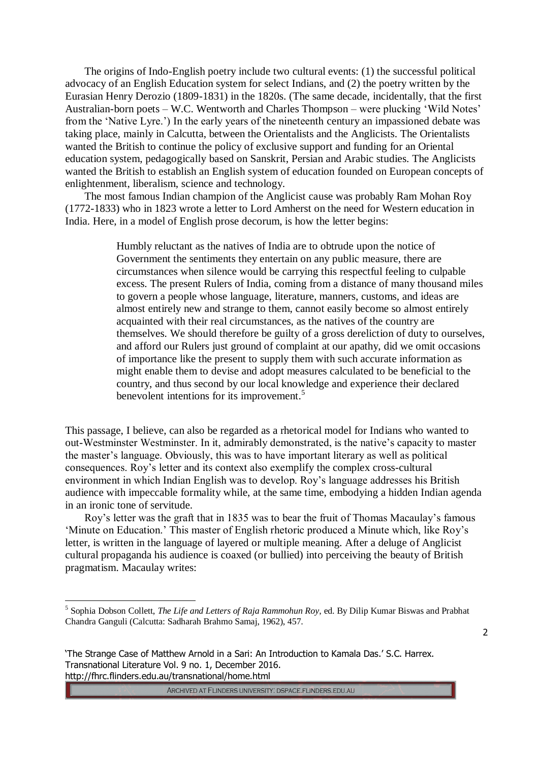The origins of Indo-English poetry include two cultural events: (1) the successful political advocacy of an English Education system for select Indians, and (2) the poetry written by the Eurasian Henry Derozio (1809-1831) in the 1820s. (The same decade, incidentally, that the first Australian-born poets – W.C. Wentworth and Charles Thompson – were plucking 'Wild Notes' from the 'Native Lyre.') In the early years of the nineteenth century an impassioned debate was taking place, mainly in Calcutta, between the Orientalists and the Anglicists. The Orientalists wanted the British to continue the policy of exclusive support and funding for an Oriental education system, pedagogically based on Sanskrit, Persian and Arabic studies. The Anglicists wanted the British to establish an English system of education founded on European concepts of enlightenment, liberalism, science and technology.

The most famous Indian champion of the Anglicist cause was probably Ram Mohan Roy (1772-1833) who in 1823 wrote a letter to Lord Amherst on the need for Western education in India. Here, in a model of English prose decorum, is how the letter begins:

> Humbly reluctant as the natives of India are to obtrude upon the notice of Government the sentiments they entertain on any public measure, there are circumstances when silence would be carrying this respectful feeling to culpable excess. The present Rulers of India, coming from a distance of many thousand miles to govern a people whose language, literature, manners, customs, and ideas are almost entirely new and strange to them, cannot easily become so almost entirely acquainted with their real circumstances, as the natives of the country are themselves. We should therefore be guilty of a gross dereliction of duty to ourselves, and afford our Rulers just ground of complaint at our apathy, did we omit occasions of importance like the present to supply them with such accurate information as might enable them to devise and adopt measures calculated to be beneficial to the country, and thus second by our local knowledge and experience their declared benevolent intentions for its improvement.<sup>5</sup>

This passage, I believe, can also be regarded as a rhetorical model for Indians who wanted to out-Westminster Westminster. In it, admirably demonstrated, is the native's capacity to master the master's language. Obviously, this was to have important literary as well as political consequences. Roy's letter and its context also exemplify the complex cross-cultural environment in which Indian English was to develop. Roy's language addresses his British audience with impeccable formality while, at the same time, embodying a hidden Indian agenda in an ironic tone of servitude.

Roy's letter was the graft that in 1835 was to bear the fruit of Thomas Macaulay's famous 'Minute on Education.' This master of English rhetoric produced a Minute which, like Roy's letter, is written in the language of layered or multiple meaning. After a deluge of Anglicist cultural propaganda his audience is coaxed (or bullied) into perceiving the beauty of British pragmatism. Macaulay writes:

 $\overline{a}$ 

ARCHIVED AT FLINDERS UNIVERSITY: DSPACE.FLINDERS.EDU.AU

<sup>5</sup> Sophia Dobson Collett, *The Life and Letters of Raja Rammohun Roy*, ed. By Dilip Kumar Biswas and Prabhat Chandra Ganguli (Calcutta: Sadharah Brahmo Samaj, 1962), 457.

<sup>&#</sup>x27;The Strange Case of Matthew Arnold in a Sari: An Introduction to Kamala Das.' S.C. Harrex. Transnational Literature Vol. 9 no. 1, December 2016. http://fhrc.flinders.edu.au/transnational/home.html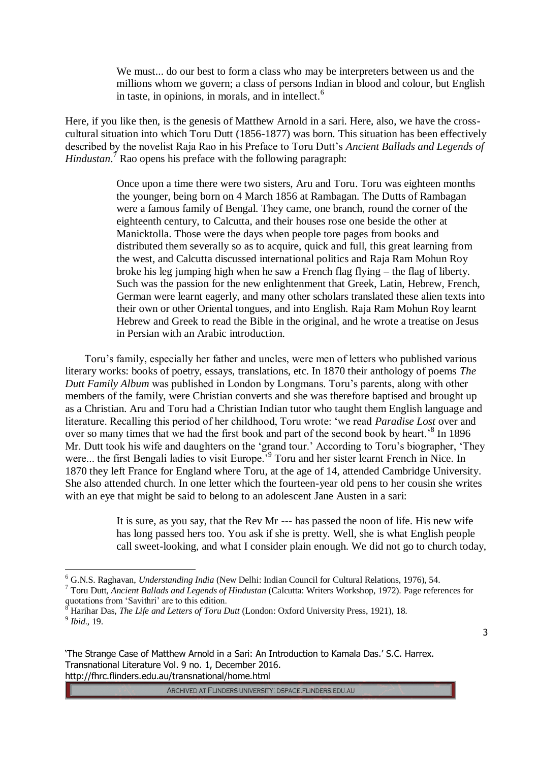We must... do our best to form a class who may be interpreters between us and the millions whom we govern; a class of persons Indian in blood and colour, but English in taste, in opinions, in morals, and in intellect. $<sup>6</sup>$ </sup>

Here, if you like then, is the genesis of Matthew Arnold in a sari. Here, also, we have the crosscultural situation into which Toru Dutt (1856-1877) was born. This situation has been effectively described by the novelist Raja Rao in his Preface to Toru Dutt's *Ancient Ballads and Legends of Hindustan*. <sup>7</sup> Rao opens his preface with the following paragraph:

> Once upon a time there were two sisters, Aru and Toru. Toru was eighteen months the younger, being born on 4 March 1856 at Rambagan. The Dutts of Rambagan were a famous family of Bengal. They came, one branch, round the corner of the eighteenth century, to Calcutta, and their houses rose one beside the other at Manicktolla. Those were the days when people tore pages from books and distributed them severally so as to acquire, quick and full, this great learning from the west, and Calcutta discussed international politics and Raja Ram Mohun Roy broke his leg jumping high when he saw a French flag flying – the flag of liberty. Such was the passion for the new enlightenment that Greek, Latin, Hebrew, French, German were learnt eagerly, and many other scholars translated these alien texts into their own or other Oriental tongues, and into English. Raja Ram Mohun Roy learnt Hebrew and Greek to read the Bible in the original, and he wrote a treatise on Jesus in Persian with an Arabic introduction.

Toru's family, especially her father and uncles, were men of letters who published various literary works: books of poetry, essays, translations, etc. In 1870 their anthology of poems *The Dutt Family Album* was published in London by Longmans. Toru's parents, along with other members of the family, were Christian converts and she was therefore baptised and brought up as a Christian. Aru and Toru had a Christian Indian tutor who taught them English language and literature. Recalling this period of her childhood, Toru wrote: 'we read *Paradise Lost* over and over so many times that we had the first book and part of the second book by heart.<sup>8</sup> In 1896 Mr. Dutt took his wife and daughters on the 'grand tour.' According to Toru's biographer, 'They were... the first Bengali ladies to visit Europe.<sup>59</sup> Toru and her sister learnt French in Nice. In 1870 they left France for England where Toru, at the age of 14, attended Cambridge University. She also attended church. In one letter which the fourteen-year old pens to her cousin she writes with an eye that might be said to belong to an adolescent Jane Austen in a sari:

> It is sure, as you say, that the Rev Mr --- has passed the noon of life. His new wife has long passed hers too. You ask if she is pretty. Well, she is what English people call sweet-looking, and what I consider plain enough. We did not go to church today,

 $\overline{a}$ 

<sup>6</sup> G.N.S. Raghavan, *Understanding India* (New Delhi: Indian Council for Cultural Relations, 1976), 54.

<sup>7</sup> Toru Dutt, *Ancient Ballads and Legends of Hindustan* (Calcutta: Writers Workshop, 1972). Page references for quotations from 'Savithri' are to this edition.

<sup>8</sup> Harihar Das, *The Life and Letters of Toru Dutt* (London: Oxford University Press, 1921), 18. 9 *Ibid*., 19.

<sup>&#</sup>x27;The Strange Case of Matthew Arnold in a Sari: An Introduction to Kamala Das.' S.C. Harrex. Transnational Literature Vol. 9 no. 1, December 2016. http://fhrc.flinders.edu.au/transnational/home.html

ARCHIVED AT FLINDERS UNIVERSITY: DSPACE.FLINDERS.EDU.AU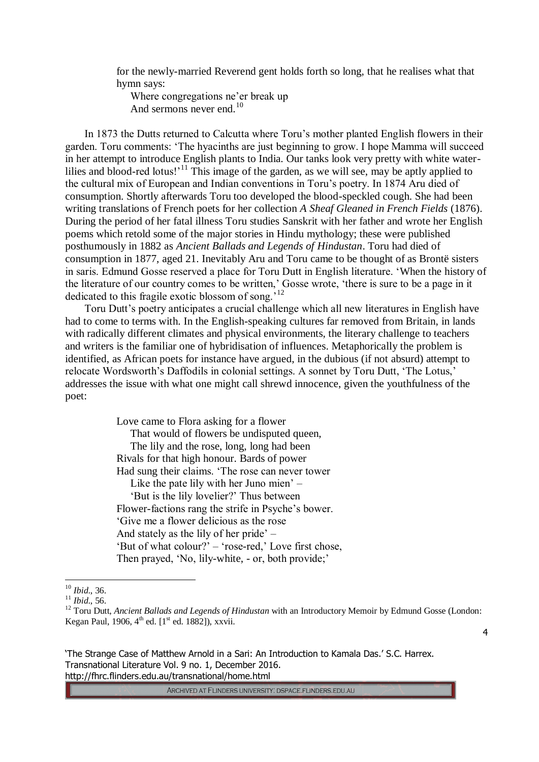for the newly-married Reverend gent holds forth so long, that he realises what that hymn says:

Where congregations ne'er break up And sermons never end.<sup>10</sup>

In 1873 the Dutts returned to Calcutta where Toru's mother planted English flowers in their garden. Toru comments: 'The hyacinths are just beginning to grow. I hope Mamma will succeed in her attempt to introduce English plants to India. Our tanks look very pretty with white waterlilies and blood-red lotus!<sup>11</sup> This image of the garden, as we will see, may be aptly applied to the cultural mix of European and Indian conventions in Toru's poetry. In 1874 Aru died of consumption. Shortly afterwards Toru too developed the blood-speckled cough. She had been writing translations of French poets for her collection *A Sheaf Gleaned in French Fields* (1876). During the period of her fatal illness Toru studies Sanskrit with her father and wrote her English poems which retold some of the major stories in Hindu mythology; these were published posthumously in 1882 as *Ancient Ballads and Legends of Hindustan*. Toru had died of consumption in 1877, aged 21. Inevitably Aru and Toru came to be thought of as Brontë sisters in saris. Edmund Gosse reserved a place for Toru Dutt in English literature. 'When the history of the literature of our country comes to be written,' Gosse wrote, 'there is sure to be a page in it dedicated to this fragile exotic blossom of song.'<sup>12</sup>

Toru Dutt's poetry anticipates a crucial challenge which all new literatures in English have had to come to terms with. In the English-speaking cultures far removed from Britain, in lands with radically different climates and physical environments, the literary challenge to teachers and writers is the familiar one of hybridisation of influences. Metaphorically the problem is identified, as African poets for instance have argued, in the dubious (if not absurd) attempt to relocate Wordsworth's Daffodils in colonial settings. A sonnet by Toru Dutt, 'The Lotus,' addresses the issue with what one might call shrewd innocence, given the youthfulness of the poet:

> Love came to Flora asking for a flower That would of flowers be undisputed queen, The lily and the rose, long, long had been Rivals for that high honour. Bards of power Had sung their claims. 'The rose can never tower Like the pate lily with her Juno mien' – 'But is the lily lovelier?' Thus between Flower-factions rang the strife in Psyche's bower. 'Give me a flower delicious as the rose And stately as the lily of her pride' – 'But of what colour?' – 'rose-red,' Love first chose, Then prayed, 'No, lily-white, - or, both provide;'

 $\overline{a}$ 

'The Strange Case of Matthew Arnold in a Sari: An Introduction to Kamala Das.' S.C. Harrex. Transnational Literature Vol. 9 no. 1, December 2016. http://fhrc.flinders.edu.au/transnational/home.html

<sup>10</sup> *Ibid*., 36.

<sup>11</sup> *Ibid*., 56.

<sup>&</sup>lt;sup>12</sup> Toru Dutt, *Ancient Ballads and Legends of Hindustan* with an Introductory Memoir by Edmund Gosse (London: Kegan Paul, 1906,  $4^{th}$  ed. [1<sup>st</sup> ed. 1882]), xxvii.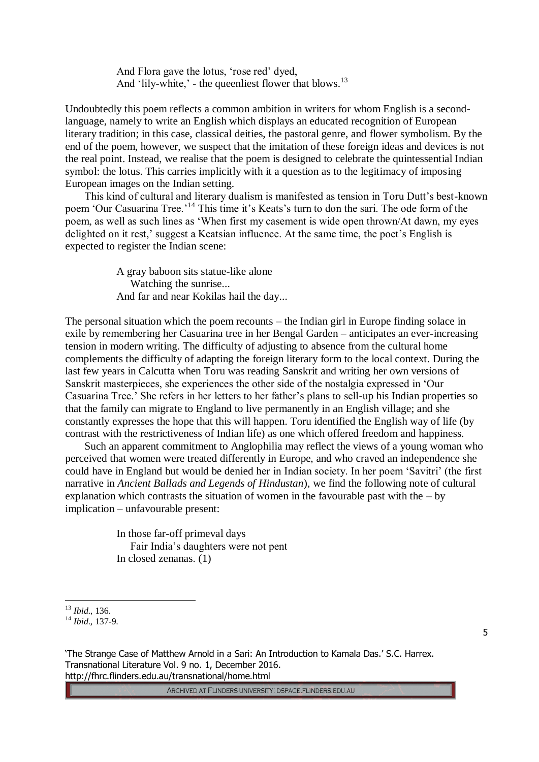And Flora gave the lotus, 'rose red' dyed, And 'lily-white,' - the queenliest flower that blows. $^{13}$ 

Undoubtedly this poem reflects a common ambition in writers for whom English is a secondlanguage, namely to write an English which displays an educated recognition of European literary tradition; in this case, classical deities, the pastoral genre, and flower symbolism. By the end of the poem, however, we suspect that the imitation of these foreign ideas and devices is not the real point. Instead, we realise that the poem is designed to celebrate the quintessential Indian symbol: the lotus. This carries implicitly with it a question as to the legitimacy of imposing European images on the Indian setting.

This kind of cultural and literary dualism is manifested as tension in Toru Dutt's best-known poem 'Our Casuarina Tree.'<sup>14</sup> This time it's Keats's turn to don the sari. The ode form of the poem, as well as such lines as 'When first my casement is wide open thrown/At dawn, my eyes delighted on it rest,' suggest a Keatsian influence. At the same time, the poet's English is expected to register the Indian scene:

> A gray baboon sits statue-like alone Watching the sunrise... And far and near Kokilas hail the day...

The personal situation which the poem recounts – the Indian girl in Europe finding solace in exile by remembering her Casuarina tree in her Bengal Garden – anticipates an ever-increasing tension in modern writing. The difficulty of adjusting to absence from the cultural home complements the difficulty of adapting the foreign literary form to the local context. During the last few years in Calcutta when Toru was reading Sanskrit and writing her own versions of Sanskrit masterpieces, she experiences the other side of the nostalgia expressed in 'Our Casuarina Tree.' She refers in her letters to her father's plans to sell-up his Indian properties so that the family can migrate to England to live permanently in an English village; and she constantly expresses the hope that this will happen. Toru identified the English way of life (by contrast with the restrictiveness of Indian life) as one which offered freedom and happiness.

Such an apparent commitment to Anglophilia may reflect the views of a young woman who perceived that women were treated differently in Europe, and who craved an independence she could have in England but would be denied her in Indian society. In her poem 'Savitri' (the first narrative in *Ancient Ballads and Legends of Hindustan*), we find the following note of cultural explanation which contrasts the situation of women in the favourable past with the  $-$  by implication – unfavourable present:

> In those far-off primeval days Fair India's daughters were not pent In closed zenanas. (1)

 $\overline{a}$ 

<sup>13</sup> *Ibid*., 136.

<sup>14</sup> *Ibid*., 137-9.

<sup>&#</sup>x27;The Strange Case of Matthew Arnold in a Sari: An Introduction to Kamala Das.' S.C. Harrex. Transnational Literature Vol. 9 no. 1, December 2016. http://fhrc.flinders.edu.au/transnational/home.html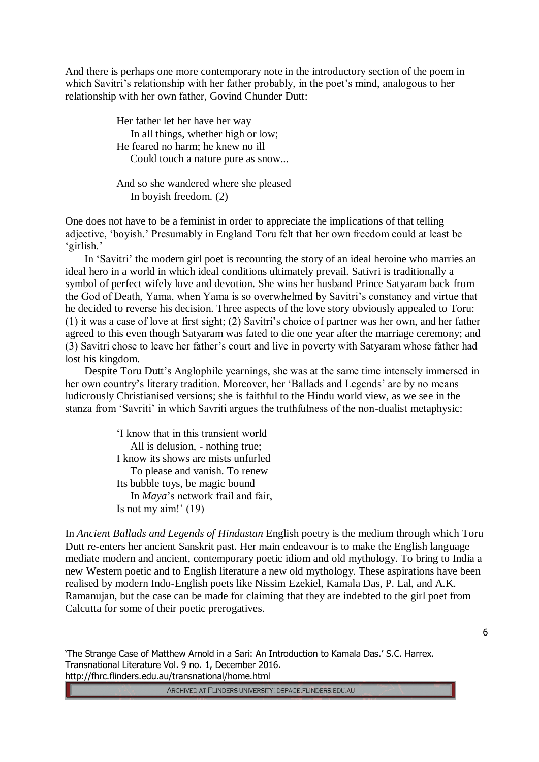And there is perhaps one more contemporary note in the introductory section of the poem in which Savitri's relationship with her father probably, in the poet's mind, analogous to her relationship with her own father, Govind Chunder Dutt:

> Her father let her have her way In all things, whether high or low; He feared no harm; he knew no ill Could touch a nature pure as snow...

> And so she wandered where she pleased In boyish freedom. (2)

One does not have to be a feminist in order to appreciate the implications of that telling adjective, 'boyish.' Presumably in England Toru felt that her own freedom could at least be 'girlish.'

In 'Savitri' the modern girl poet is recounting the story of an ideal heroine who marries an ideal hero in a world in which ideal conditions ultimately prevail. Sativri is traditionally a symbol of perfect wifely love and devotion. She wins her husband Prince Satyaram back from the God of Death, Yama, when Yama is so overwhelmed by Savitri's constancy and virtue that he decided to reverse his decision. Three aspects of the love story obviously appealed to Toru: (1) it was a case of love at first sight; (2) Savitri's choice of partner was her own, and her father agreed to this even though Satyaram was fated to die one year after the marriage ceremony; and (3) Savitri chose to leave her father's court and live in poverty with Satyaram whose father had lost his kingdom.

Despite Toru Dutt's Anglophile yearnings, she was at the same time intensely immersed in her own country's literary tradition. Moreover, her 'Ballads and Legends' are by no means ludicrously Christianised versions; she is faithful to the Hindu world view, as we see in the stanza from 'Savriti' in which Savriti argues the truthfulness of the non-dualist metaphysic:

> 'I know that in this transient world All is delusion, - nothing true; I know its shows are mists unfurled To please and vanish. To renew Its bubble toys, be magic bound In *Maya*'s network frail and fair, Is not my aim!' (19)

In *Ancient Ballads and Legends of Hindustan* English poetry is the medium through which Toru Dutt re-enters her ancient Sanskrit past. Her main endeavour is to make the English language mediate modern and ancient, contemporary poetic idiom and old mythology. To bring to India a new Western poetic and to English literature a new old mythology. These aspirations have been realised by modern Indo-English poets like Nissim Ezekiel, Kamala Das, P. Lal, and A.K. Ramanujan, but the case can be made for claiming that they are indebted to the girl poet from Calcutta for some of their poetic prerogatives.

'The Strange Case of Matthew Arnold in a Sari: An Introduction to Kamala Das.' S.C. Harrex. Transnational Literature Vol. 9 no. 1, December 2016. http://fhrc.flinders.edu.au/transnational/home.html

ARCHIVED AT FLINDERS UNIVERSITY: DSPACE.FLINDERS.EDU.AU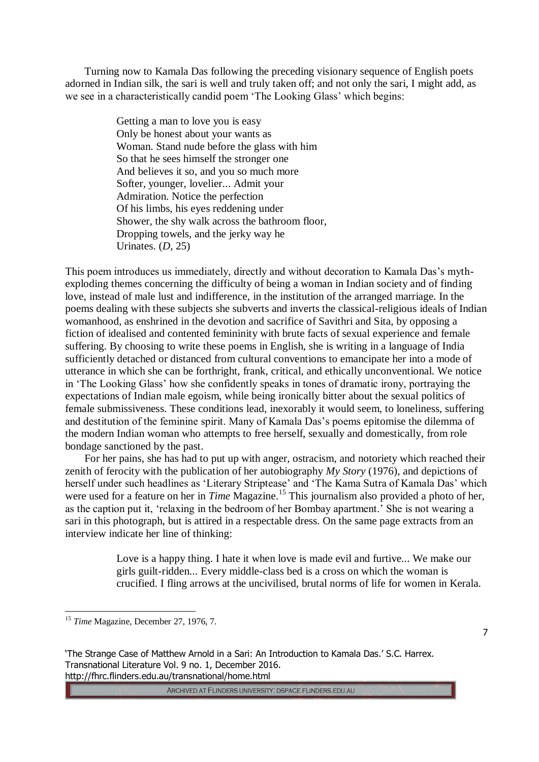Turning now to Kamala Das following the preceding visionary sequence of English poets adorned in Indian silk, the sari is well and truly taken off; and not only the sari, I might add, as we see in a characteristically candid poem 'The Looking Glass' which begins:

> Getting a man to love you is easy Only be honest about your wants as Woman. Stand nude before the glass with him So that he sees himself the stronger one And believes it so, and you so much more Softer, younger, lovelier... Admit your Admiration. Notice the perfection Of his limbs, his eyes reddening under Shower, the shy walk across the bathroom floor, Dropping towels, and the jerky way he Urinates. (*D*, 25)

This poem introduces us immediately, directly and without decoration to Kamala Das's mythexploding themes concerning the difficulty of being a woman in Indian society and of finding love, instead of male lust and indifference, in the institution of the arranged marriage. In the poems dealing with these subjects she subverts and inverts the classical-religious ideals of Indian womanhood, as enshrined in the devotion and sacrifice of Savithri and Sita, by opposing a fiction of idealised and contented femininity with brute facts of sexual experience and female suffering. By choosing to write these poems in English, she is writing in a language of India sufficiently detached or distanced from cultural conventions to emancipate her into a mode of utterance in which she can be forthright, frank, critical, and ethically unconventional. We notice in 'The Looking Glass' how she confidently speaks in tones of dramatic irony, portraying the expectations of Indian male egoism, while being ironically bitter about the sexual politics of female submissiveness. These conditions lead, inexorably it would seem, to loneliness, suffering and destitution of the feminine spirit. Many of Kamala Das's poems epitomise the dilemma of the modern Indian woman who attempts to free herself, sexually and domestically, from role bondage sanctioned by the past.

For her pains, she has had to put up with anger, ostracism, and notoriety which reached their zenith of ferocity with the publication of her autobiography *My Story* (1976), and depictions of herself under such headlines as 'Literary Striptease' and 'The Kama Sutra of Kamala Das' which were used for a feature on her in *Time* Magazine.<sup>15</sup> This journalism also provided a photo of her, as the caption put it, 'relaxing in the bedroom of her Bombay apartment.' She is not wearing a sari in this photograph, but is attired in a respectable dress. On the same page extracts from an interview indicate her line of thinking:

> Love is a happy thing. I hate it when love is made evil and furtive... We make our girls guilt-ridden... Every middle-class bed is a cross on which the woman is crucified. I fling arrows at the uncivilised, brutal norms of life for women in Kerala.

 $\overline{a}$ 

'The Strange Case of Matthew Arnold in a Sari: An Introduction to Kamala Das.' S.C. Harrex. Transnational Literature Vol. 9 no. 1, December 2016. http://fhrc.flinders.edu.au/transnational/home.html

<sup>&</sup>lt;sup>15</sup> Time Magazine, December 27, 1976, 7.

<sup>7</sup>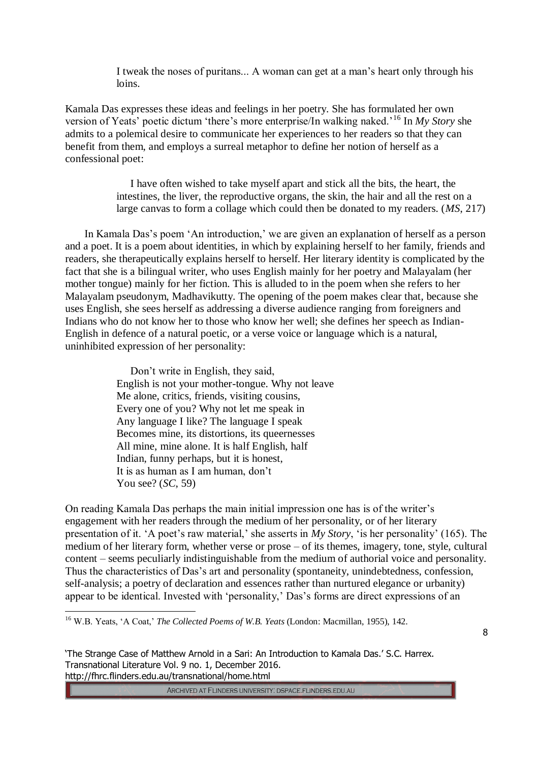I tweak the noses of puritans... A woman can get at a man's heart only through his loins.

Kamala Das expresses these ideas and feelings in her poetry. She has formulated her own version of Yeats' poetic dictum 'there's more enterprise/In walking naked.'<sup>16</sup> In *My Story* she admits to a polemical desire to communicate her experiences to her readers so that they can benefit from them, and employs a surreal metaphor to define her notion of herself as a confessional poet:

> I have often wished to take myself apart and stick all the bits, the heart, the intestines, the liver, the reproductive organs, the skin, the hair and all the rest on a large canvas to form a collage which could then be donated to my readers. (*MS*, 217)

In Kamala Das's poem 'An introduction,' we are given an explanation of herself as a person and a poet. It is a poem about identities, in which by explaining herself to her family, friends and readers, she therapeutically explains herself to herself. Her literary identity is complicated by the fact that she is a bilingual writer, who uses English mainly for her poetry and Malayalam (her mother tongue) mainly for her fiction. This is alluded to in the poem when she refers to her Malayalam pseudonym, Madhavikutty. The opening of the poem makes clear that, because she uses English, she sees herself as addressing a diverse audience ranging from foreigners and Indians who do not know her to those who know her well; she defines her speech as Indian-English in defence of a natural poetic, or a verse voice or language which is a natural, uninhibited expression of her personality:

> Don't write in English, they said, English is not your mother-tongue. Why not leave Me alone, critics, friends, visiting cousins, Every one of you? Why not let me speak in Any language I like? The language I speak Becomes mine, its distortions, its queernesses All mine, mine alone. It is half English, half Indian, funny perhaps, but it is honest, It is as human as I am human, don't You see? (*SC*, 59)

On reading Kamala Das perhaps the main initial impression one has is of the writer's engagement with her readers through the medium of her personality, or of her literary presentation of it. 'A poet's raw material,' she asserts in *My Story*, 'is her personality' (165). The medium of her literary form, whether verse or prose – of its themes, imagery, tone, style, cultural content – seems peculiarly indistinguishable from the medium of authorial voice and personality. Thus the characteristics of Das's art and personality (spontaneity, unindebtedness, confession, self-analysis; a poetry of declaration and essences rather than nurtured elegance or urbanity) appear to be identical. Invested with 'personality,' Das's forms are direct expressions of an

<sup>16</sup> W.B. Yeats, 'A Coat,' *The Collected Poems of W.B. Yeats* (London: Macmillan, 1955), 142.

 $\overline{a}$ 

8

'The Strange Case of Matthew Arnold in a Sari: An Introduction to Kamala Das.' S.C. Harrex. Transnational Literature Vol. 9 no. 1, December 2016. http://fhrc.flinders.edu.au/transnational/home.html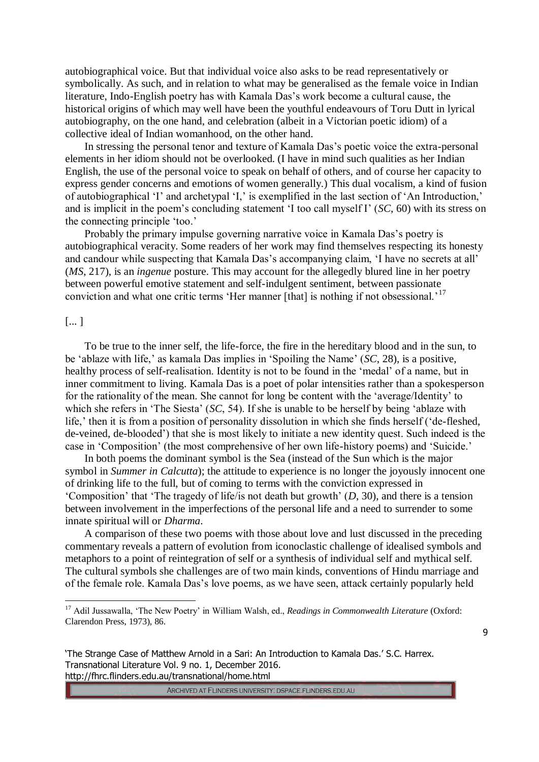autobiographical voice. But that individual voice also asks to be read representatively or symbolically. As such, and in relation to what may be generalised as the female voice in Indian literature, Indo-English poetry has with Kamala Das's work become a cultural cause, the historical origins of which may well have been the youthful endeavours of Toru Dutt in lyrical autobiography, on the one hand, and celebration (albeit in a Victorian poetic idiom) of a collective ideal of Indian womanhood, on the other hand.

In stressing the personal tenor and texture of Kamala Das's poetic voice the extra-personal elements in her idiom should not be overlooked. (I have in mind such qualities as her Indian English, the use of the personal voice to speak on behalf of others, and of course her capacity to express gender concerns and emotions of women generally.) This dual vocalism, a kind of fusion of autobiographical 'I' and archetypal 'I,' is exemplified in the last section of 'An Introduction,' and is implicit in the poem's concluding statement 'I too call myself I' (*SC*, 60) with its stress on the connecting principle 'too.'

Probably the primary impulse governing narrative voice in Kamala Das's poetry is autobiographical veracity. Some readers of her work may find themselves respecting its honesty and candour while suspecting that Kamala Das's accompanying claim, 'I have no secrets at all' (*MS*, 217), is an *ingenue* posture. This may account for the allegedly blured line in her poetry between powerful emotive statement and self-indulgent sentiment, between passionate conviction and what one critic terms 'Her manner [that] is nothing if not obsessional.'<sup>17</sup>

## [... ]

 $\overline{a}$ 

To be true to the inner self, the life-force, the fire in the hereditary blood and in the sun, to be 'ablaze with life,' as kamala Das implies in 'Spoiling the Name' (*SC*, 28), is a positive, healthy process of self-realisation. Identity is not to be found in the 'medal' of a name, but in inner commitment to living. Kamala Das is a poet of polar intensities rather than a spokesperson for the rationality of the mean. She cannot for long be content with the 'average/Identity' to which she refers in 'The Siesta' (*SC*, 54). If she is unable to be herself by being 'ablaze with life,' then it is from a position of personality dissolution in which she finds herself ('de-fleshed, de-veined, de-blooded') that she is most likely to initiate a new identity quest. Such indeed is the case in 'Composition' (the most comprehensive of her own life-history poems) and 'Suicide.'

In both poems the dominant symbol is the Sea (instead of the Sun which is the major symbol in *Summer in Calcutta*); the attitude to experience is no longer the joyously innocent one of drinking life to the full, but of coming to terms with the conviction expressed in 'Composition' that 'The tragedy of life/is not death but growth' (*D*, 30), and there is a tension between involvement in the imperfections of the personal life and a need to surrender to some innate spiritual will or *Dharma*.

A comparison of these two poems with those about love and lust discussed in the preceding commentary reveals a pattern of evolution from iconoclastic challenge of idealised symbols and metaphors to a point of reintegration of self or a synthesis of individual self and mythical self. The cultural symbols she challenges are of two main kinds, conventions of Hindu marriage and of the female role. Kamala Das's love poems, as we have seen, attack certainly popularly held

ARCHIVED AT FLINDERS UNIVERSITY: DSPACE.FLINDERS.EDU.AU

<sup>17</sup> Adil Jussawalla, 'The New Poetry' in William Walsh, ed., *Readings in Commonwealth Literature* (Oxford: Clarendon Press, 1973), 86.

<sup>&#</sup>x27;The Strange Case of Matthew Arnold in a Sari: An Introduction to Kamala Das.' S.C. Harrex. Transnational Literature Vol. 9 no. 1, December 2016. http://fhrc.flinders.edu.au/transnational/home.html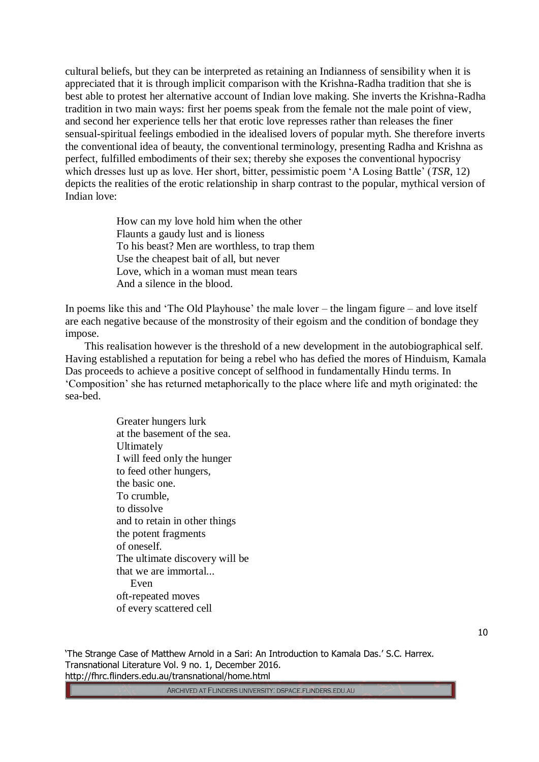cultural beliefs, but they can be interpreted as retaining an Indianness of sensibility when it is appreciated that it is through implicit comparison with the Krishna-Radha tradition that she is best able to protest her alternative account of Indian love making. She inverts the Krishna-Radha tradition in two main ways: first her poems speak from the female not the male point of view, and second her experience tells her that erotic love represses rather than releases the finer sensual-spiritual feelings embodied in the idealised lovers of popular myth. She therefore inverts the conventional idea of beauty, the conventional terminology, presenting Radha and Krishna as perfect, fulfilled embodiments of their sex; thereby she exposes the conventional hypocrisy which dresses lust up as love. Her short, bitter, pessimistic poem 'A Losing Battle' (*TSR*, 12) depicts the realities of the erotic relationship in sharp contrast to the popular, mythical version of Indian love:

> How can my love hold him when the other Flaunts a gaudy lust and is lioness To his beast? Men are worthless, to trap them Use the cheapest bait of all, but never Love, which in a woman must mean tears And a silence in the blood.

In poems like this and 'The Old Playhouse' the male lover – the lingam figure – and love itself are each negative because of the monstrosity of their egoism and the condition of bondage they impose.

This realisation however is the threshold of a new development in the autobiographical self. Having established a reputation for being a rebel who has defied the mores of Hinduism, Kamala Das proceeds to achieve a positive concept of selfhood in fundamentally Hindu terms. In 'Composition' she has returned metaphorically to the place where life and myth originated: the sea-bed.

> Greater hungers lurk at the basement of the sea. Ultimately I will feed only the hunger to feed other hungers, the basic one. To crumble, to dissolve and to retain in other things the potent fragments of oneself. The ultimate discovery will be that we are immortal... Even oft-repeated moves of every scattered cell

'The Strange Case of Matthew Arnold in a Sari: An Introduction to Kamala Das.' S.C. Harrex. Transnational Literature Vol. 9 no. 1, December 2016. http://fhrc.flinders.edu.au/transnational/home.html

ARCHIVED AT FLINDERS UNIVERSITY: DSPACE.FLINDERS.EDU.AU